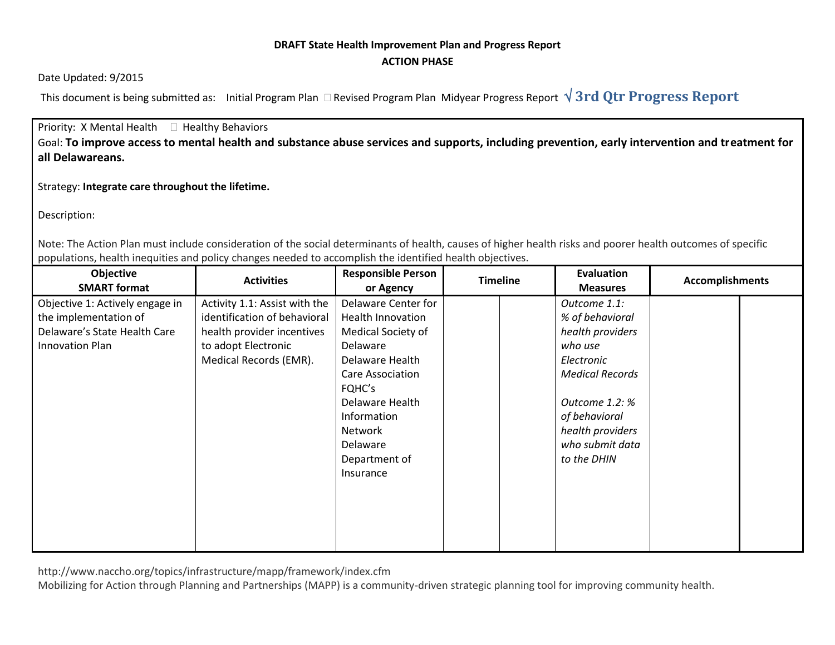## **DRAFT State Health Improvement Plan and Progress Report ACTION PHASE**

Date Updated: 9/2015

This document is being submitted as: Initial Program Plan  $\Box$  Revised Program Plan Midyear Progress Report  $\sqrt{3}$ rd Qtr Progress Report

Priority: X Mental Health  $\Box$  Healthy Behaviors Goal: **To improve access to mental health and substance abuse services and supports, including prevention, early intervention and treatment for all Delawareans.** 

Strategy: **Integrate care throughout the lifetime.**

Description:

Note: The Action Plan must include consideration of the social determinants of health, causes of higher health risks and poorer health outcomes of specific populations, health inequities and policy changes needed to accomplish the identified health objectives.

| Objective<br><b>SMART format</b>                                                                            | <b>Activities</b>                                                                                                                            | <b>Responsible Person</b><br>or Agency                                                                                                                                                                                           | <b>Timeline</b> | <b>Evaluation</b><br><b>Measures</b>                                                                                                                                                            | <b>Accomplishments</b> |
|-------------------------------------------------------------------------------------------------------------|----------------------------------------------------------------------------------------------------------------------------------------------|----------------------------------------------------------------------------------------------------------------------------------------------------------------------------------------------------------------------------------|-----------------|-------------------------------------------------------------------------------------------------------------------------------------------------------------------------------------------------|------------------------|
| Objective 1: Actively engage in<br>the implementation of<br>Delaware's State Health Care<br>Innovation Plan | Activity 1.1: Assist with the<br>identification of behavioral<br>health provider incentives<br>to adopt Electronic<br>Medical Records (EMR). | Delaware Center for<br><b>Health Innovation</b><br>Medical Society of<br>Delaware<br>Delaware Health<br>Care Association<br>FQHC's<br>Delaware Health<br>Information<br><b>Network</b><br>Delaware<br>Department of<br>Insurance |                 | Outcome 1.1:<br>% of behavioral<br>health providers<br>who use<br>Electronic<br><b>Medical Records</b><br>Outcome 1.2: %<br>of behavioral<br>health providers<br>who submit data<br>to the DHIN |                        |

http://www.naccho.org/topics/infrastructure/mapp/framework/index.cfm

Mobilizing for Action through Planning and Partnerships (MAPP) is a community-driven strategic planning tool for improving community health.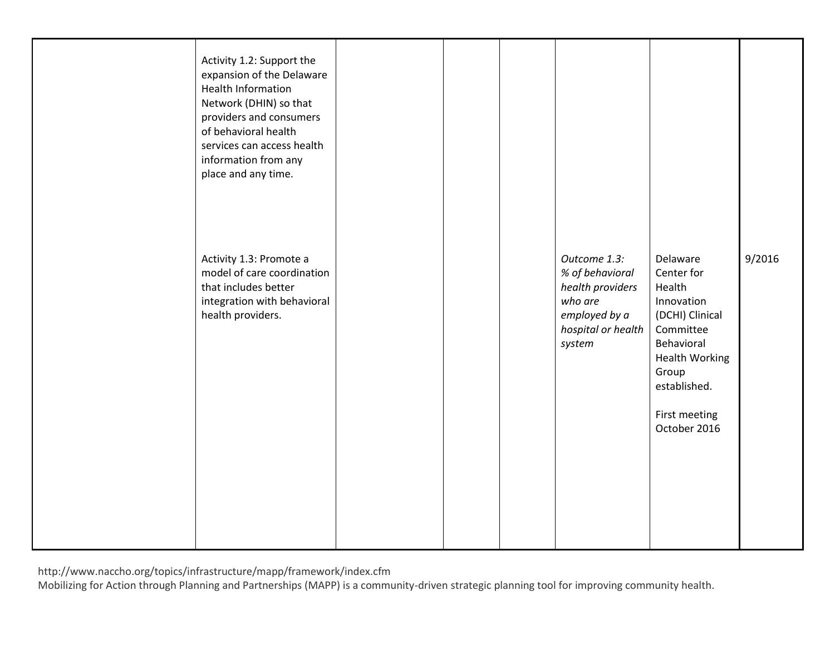| Activity 1.2: Support the<br>expansion of the Delaware<br>Health Information<br>Network (DHIN) so that<br>providers and consumers<br>of behavioral health<br>services can access health<br>information from any<br>place and any time. |  |                                                                                                                 |                                                                                                                                                                                 |        |
|----------------------------------------------------------------------------------------------------------------------------------------------------------------------------------------------------------------------------------------|--|-----------------------------------------------------------------------------------------------------------------|---------------------------------------------------------------------------------------------------------------------------------------------------------------------------------|--------|
| Activity 1.3: Promote a<br>model of care coordination<br>that includes better<br>integration with behavioral<br>health providers.                                                                                                      |  | Outcome 1.3:<br>% of behavioral<br>health providers<br>who are<br>employed by a<br>hospital or health<br>system | Delaware<br>Center for<br>Health<br>Innovation<br>(DCHI) Clinical<br>Committee<br>Behavioral<br><b>Health Working</b><br>Group<br>established.<br>First meeting<br>October 2016 | 9/2016 |

http://www.naccho.org/topics/infrastructure/mapp/framework/index.cfm

Mobilizing for Action through Planning and Partnerships (MAPP) is a community-driven strategic planning tool for improving community health.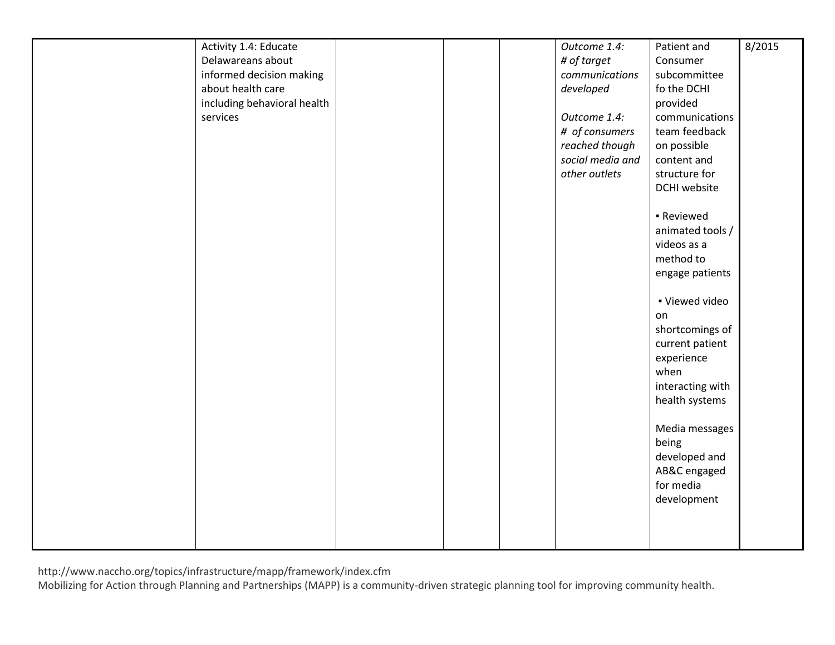| Activity 1.4: Educate       |  | Outcome 1.4:     | Patient and      | 8/2015 |
|-----------------------------|--|------------------|------------------|--------|
| Delawareans about           |  | # of target      | Consumer         |        |
| informed decision making    |  | communications   | subcommittee     |        |
| about health care           |  | developed        | fo the DCHI      |        |
| including behavioral health |  |                  | provided         |        |
| services                    |  | Outcome 1.4:     | communications   |        |
|                             |  | # of consumers   | team feedback    |        |
|                             |  | reached though   | on possible      |        |
|                             |  | social media and | content and      |        |
|                             |  | other outlets    | structure for    |        |
|                             |  |                  |                  |        |
|                             |  |                  | DCHI website     |        |
|                             |  |                  |                  |        |
|                             |  |                  | - Reviewed       |        |
|                             |  |                  | animated tools / |        |
|                             |  |                  | videos as a      |        |
|                             |  |                  | method to        |        |
|                             |  |                  | engage patients  |        |
|                             |  |                  |                  |        |
|                             |  |                  | · Viewed video   |        |
|                             |  |                  | on               |        |
|                             |  |                  | shortcomings of  |        |
|                             |  |                  | current patient  |        |
|                             |  |                  | experience       |        |
|                             |  |                  | when             |        |
|                             |  |                  | interacting with |        |
|                             |  |                  | health systems   |        |
|                             |  |                  |                  |        |
|                             |  |                  | Media messages   |        |
|                             |  |                  | being            |        |
|                             |  |                  | developed and    |        |
|                             |  |                  | AB&C engaged     |        |
|                             |  |                  | for media        |        |
|                             |  |                  | development      |        |
|                             |  |                  |                  |        |
|                             |  |                  |                  |        |
|                             |  |                  |                  |        |
|                             |  |                  |                  |        |

http://www.naccho.org/topics/infrastructure/mapp/framework/index.cfm

Mobilizing for Action through Planning and Partnerships (MAPP) is a community-driven strategic planning tool for improving community health.